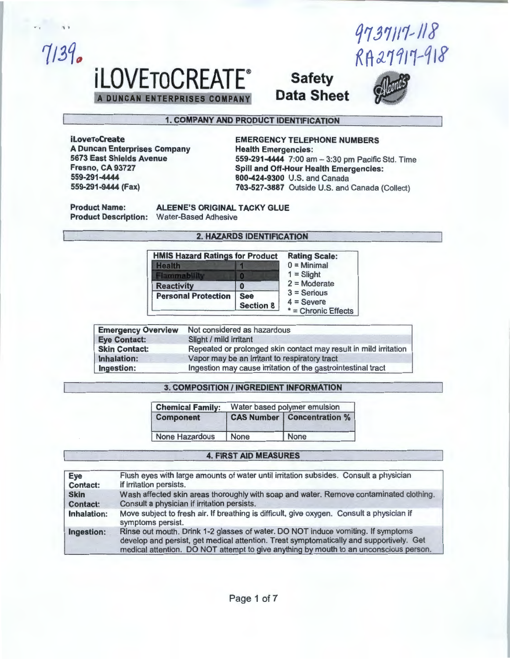17J1!11~11i  $K$ A27917-918

# *iLOVETOCREATE***<sup>®</sup> Safety**<br>A DUNGAN ENTERPRISES COMPANY Data Sheet **DUNCAN ENTERPRISES COMPANY**



### 1. COMPANY AND PRODUCT IDENTIFICATION

... . ' '

 $7139.$ 

A Duncan Enterprises Company 5673 East Shields Avenue Fresno, CA 93727 559-291-4444 800-424-9300 U.S. and Canada

### iLoveToCreate<br>
A Duncan Enterprises Company<br>
Health Emergencies: 559-291-4444 7:00am-3:30pm Pacific Std. Time Spill and Off-Hour Health Emergencies: 703-527-3887 Outside U.S. and Canada (Collect)

Product Name: ALEENE'S ORIGINAL TACKY GLUE Product Description: Water-Based Adhesive

### 2. HAZARDS IDENTIFICATION

| <b>HMIS Hazard Ratings for Product</b> |                                | <b>Rating Scale:</b>                                 |
|----------------------------------------|--------------------------------|------------------------------------------------------|
| <b>Health</b>                          |                                | $0 =$ Minimal                                        |
| <b>lammabilit</b>                      |                                | $1 =$ Slight                                         |
| <b>Reactivity</b>                      |                                | $2 =$ Moderate                                       |
| <b>Personal Protection</b>             | <b>See</b><br><b>Section 8</b> | $3 =$ Serious<br>$4 =$ Severe<br>* = Chronic Effects |

| <b>Emergency Overview</b> | Not considered as hazardous                                      |
|---------------------------|------------------------------------------------------------------|
| <b>Eye Contact:</b>       | Slight / mild irritant                                           |
| <b>Skin Contact:</b>      | Repeated or prolonged skin contact may result in mild irritation |
| Inhalation:               | Vapor may be an irritant to respiratory tract                    |
| Ingestion:                | Ingestion may cause irritation of the gastrointestinal tract     |

### **3. COMPOSITION / INGREDIENT INFORMATION**

| <b>Chemical Family:</b> | Water based polymer emulsion |                                     |  |
|-------------------------|------------------------------|-------------------------------------|--|
| <b>Component</b>        |                              | <b>CAS Number   Concentration %</b> |  |
| <b>None Hazardous</b>   | None                         | None                                |  |

### 4. FIRST AID MEASURES

| <b>Eye</b>      | Flush eyes with large amounts of water until irritation subsides. Consult a physician                                                                                                                                                                                |
|-----------------|----------------------------------------------------------------------------------------------------------------------------------------------------------------------------------------------------------------------------------------------------------------------|
| <b>Contact:</b> | if irritation persists.                                                                                                                                                                                                                                              |
| <b>Skin</b>     | Wash affected skin areas thoroughly with soap and water. Remove contaminated clothing.                                                                                                                                                                               |
| Contact:        | Consult a physician if irritation persists.                                                                                                                                                                                                                          |
| Inhalation:     | Move subject to fresh air. If breathing is difficult, give oxygen. Consult a physician if<br>symptoms persist.                                                                                                                                                       |
| Ingestion:      | Rinse out mouth. Drink 1-2 glasses of water. DO NOT induce vomiting. If symptoms<br>develop and persist, get medical attention. Treat symptomatically and supportively. Get<br>medical attention. DO NOT attempt to give anything by mouth to an unconscious person. |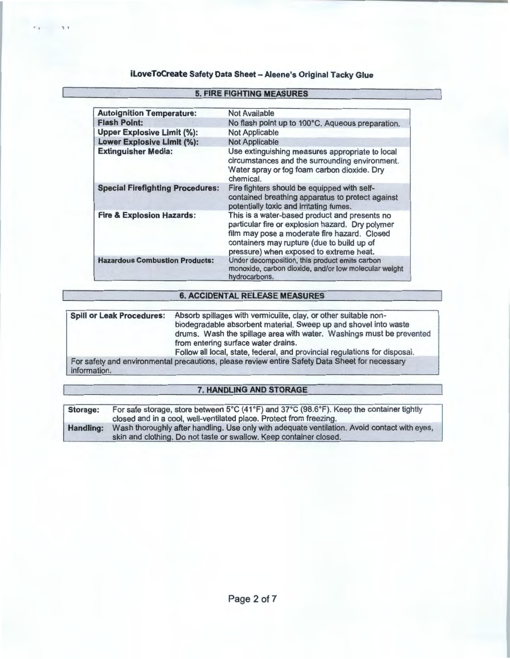$r_1$   $r_2$ 

| <b>Autoignition Temperature:</b>        | <b>Not Available</b>                                                                                                                                                                                                                       |
|-----------------------------------------|--------------------------------------------------------------------------------------------------------------------------------------------------------------------------------------------------------------------------------------------|
| <b>Flash Point:</b>                     | No flash point up to 100°C. Aqueous preparation.                                                                                                                                                                                           |
| <b>Upper Explosive Limit (%):</b>       | <b>Not Applicable</b>                                                                                                                                                                                                                      |
| <b>Lower Explosive Limit (%):</b>       | <b>Not Applicable</b>                                                                                                                                                                                                                      |
| <b>Extinguisher Media:</b>              | Use extinguishing measures appropriate to local<br>circumstances and the surrounding environment.<br>Water spray or fog foam carbon dioxide. Dry<br>chemical.                                                                              |
| <b>Special Firefighting Procedures:</b> | Fire fighters should be equipped with self-<br>contained breathing apparatus to protect against<br>potentially toxic and irritating fumes.                                                                                                 |
| <b>Fire &amp; Explosion Hazards:</b>    | This is a water-based product and presents no<br>particular fire or explosion hazard. Dry polymer<br>film may pose a moderate fire hazard. Closed<br>containers may rupture (due to build up of<br>pressure) when exposed to extreme heat. |
| <b>Hazardous Combustion Products:</b>   | Under decomposition, this product emits carbon<br>monoxide, carbon dioxide, and/or low molecular weight<br>hydrocarbons.                                                                                                                   |

### and the company's company's company's company's company's company's

### 6. ACCIDENTAL RELEASE MEASURES

| <b>Spill or Leak Procedures:</b> | Absorb spillages with vermiculite, clay, or other suitable non-<br>biodegradable absorbent material. Sweep up and shovel into waste<br>drums. Wash the spillage area with water. Washings must be prevented<br>from entering surface water drains.<br>Follow all local, state, federal, and provincial regulations for disposal. |
|----------------------------------|----------------------------------------------------------------------------------------------------------------------------------------------------------------------------------------------------------------------------------------------------------------------------------------------------------------------------------|
| information.                     | For safety and environmental precautions, please review entire Safety Data Sheet for necessary                                                                                                                                                                                                                                   |

### 7. HANDLING AND STORAGE

| Storage:         | For safe storage, store between 5°C (41°F) and 37°C (98.6°F). Keep the container tightly<br>closed and in a cool, well-ventilated place. Protect from freezing.    |
|------------------|--------------------------------------------------------------------------------------------------------------------------------------------------------------------|
| <b>Handling:</b> | Wash thoroughly after handling. Use only with adequate ventilation. Avoid contact with eyes,<br>skin and clothing. Do not taste or swallow. Keep container closed. |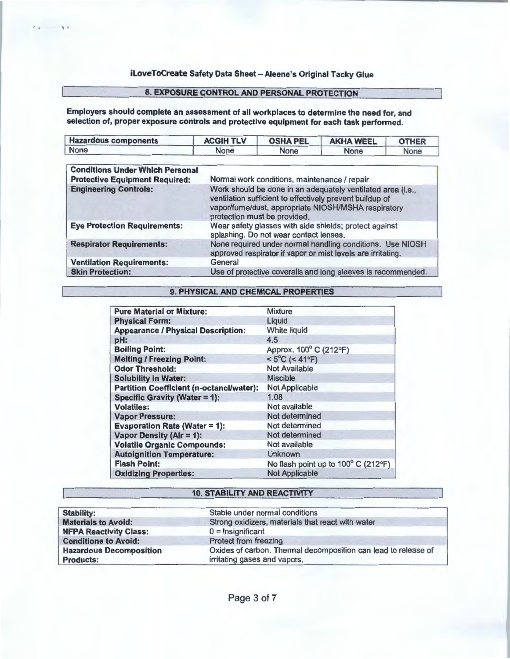### 8. EXPOSURE CONTROL AND PERSONAL PROTECTION

Employers should complete an assessment of all workplaces to determine the need for, and selection of, proper exposure controls and protective equipment for each task performed.

 $\ddot{\phantom{a}}$ 

| <b>Hazardous components</b>            | <b>ACGIH TLV</b>                                                                                                                                                                                               | <b>OSHA PEL</b>                              | <b>AKHA WEEL</b> | <b>OTHER</b> |
|----------------------------------------|----------------------------------------------------------------------------------------------------------------------------------------------------------------------------------------------------------------|----------------------------------------------|------------------|--------------|
| None                                   | None                                                                                                                                                                                                           | None                                         | None             | None         |
| <b>Conditions Under Which Personal</b> |                                                                                                                                                                                                                |                                              |                  |              |
| <b>Protective Equipment Required:</b>  |                                                                                                                                                                                                                | Normal work conditions, maintenance / repair |                  |              |
| <b>Engineering Controls:</b>           | Work should be done in an adequately ventilated area (i.e.,<br>ventilation sufficient to effectively prevent buildup of<br>vapor/fume/dust, appropriate NIOSH/MSHA respiratory<br>protection must be provided. |                                              |                  |              |
| <b>Eye Protection Requirements:</b>    | Wear safety glasses with side shields; protect against<br>splashing. Do not wear contact lenses.                                                                                                               |                                              |                  |              |
| <b>Respirator Requirements:</b>        | None required under normal handling conditions. Use NIOSH<br>approved respirator if vapor or mist levels are irritating.                                                                                       |                                              |                  |              |
| <b>Ventilation Requirements:</b>       | General                                                                                                                                                                                                        |                                              |                  |              |
| <b>Skin Protection:</b>                | Use of protective coveralls and long sleeves is recommended.                                                                                                                                                   |                                              |                  |              |

### 9. PHYSICAL AND CHEMICAL PROPERTIES

| <b>Pure Material or Mixture:</b>                | <b>Mixture</b>                      |
|-------------------------------------------------|-------------------------------------|
| <b>Physical Form:</b>                           | Liquid                              |
| <b>Appearance / Physical Description:</b>       | <b>White liquid</b>                 |
| pH:                                             | 4.5                                 |
| <b>Boiling Point:</b>                           | Approx. 100° C (212°F)              |
| <b>Melting / Freezing Point:</b>                | $< 5^{\circ}$ C (< 41°F)            |
| <b>Odor Threshold:</b>                          | <b>Not Available</b>                |
| <b>Solubility in Water:</b>                     | <b>Miscible</b>                     |
| <b>Partition Coefficient (n-octanol/water):</b> | <b>Not Applicable</b>               |
| <b>Specific Gravity (Water = 1):</b>            | 1.08                                |
| <b>Volatiles:</b>                               | Not available                       |
| <b>Vapor Pressure:</b>                          | Not determined                      |
| <b>Evaporation Rate (Water = 1):</b>            | Not determined                      |
| Vapor Density (Alr = 1):                        | Not determined                      |
| <b>Volatile Organic Compounds:</b>              | Not available                       |
| <b>Autoignition Temperature:</b>                | <b>Unknown</b>                      |
| <b>Flash Point:</b>                             | No flash point up to 100° C (212°F) |
| <b>Oxidizing Properties:</b>                    | <b>Not Applicable</b>               |

### 10. STABILITY AND REACTIVITY

| <b>Stability:</b>              | Stable under normal conditions                                 |
|--------------------------------|----------------------------------------------------------------|
| <b>Materials to Avoid:</b>     | Strong oxidizers, materials that react with water              |
| <b>NFPA Reactivity Class:</b>  | $0 =$ Insignificant                                            |
| <b>Conditions to Avoid:</b>    | Protect from freezing                                          |
| <b>Hazardous Decomposition</b> | Oxides of carbon. Thermal decomposition can lead to release of |
| <b>Products:</b>               | irritating gases and vapors.                                   |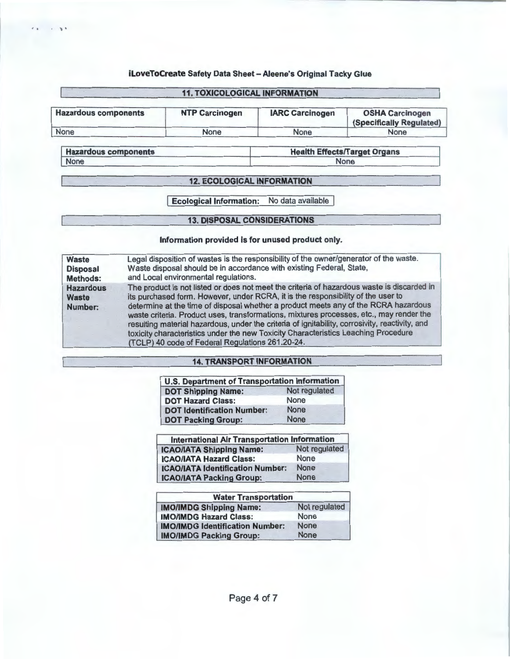$\mathcal{N}^{\mathcal{C}}$ 

## 11. TOXICOLOGICAL INFORMATION Hazardous components NTP Carcinogen | IARC Carcinogen | OSHA Carcinogen (Specifically Regulated) None None None None

Hazardous components Health Effects/Target Organs None None

### 12. ECOLOGICAL INFORMATION

**Ecological Information:** No data available

### 13. DISPOSAL CONSIDERATIONS

### Information provided is for unused product only.

| <b>Waste</b>                                | Legal disposition of wastes is the responsibility of the owner/generator of the waste.                                                                                                                                                                                                                                                                                                                                                                                                                                                                                                                       |
|---------------------------------------------|--------------------------------------------------------------------------------------------------------------------------------------------------------------------------------------------------------------------------------------------------------------------------------------------------------------------------------------------------------------------------------------------------------------------------------------------------------------------------------------------------------------------------------------------------------------------------------------------------------------|
| <b>Disposal</b>                             | Waste disposal should be in accordance with existing Federal, State,                                                                                                                                                                                                                                                                                                                                                                                                                                                                                                                                         |
| <b>Methods:</b>                             | and Local environmental regulations.                                                                                                                                                                                                                                                                                                                                                                                                                                                                                                                                                                         |
| <b>Hazardous</b><br><b>Waste</b><br>Number: | The product is not listed or does not meet the criteria of hazardous waste is discarded in<br>its purchased form. However, under RCRA, it is the responsibility of the user to<br>determine at the time of disposal whether a product meets any of the RCRA hazardous<br>waste criteria. Product uses, transformations, mixtures processes, etc., may render the<br>resulting material hazardous, under the criteria of ignitability, corrosivity, reactivity, and<br>toxicity characteristics under the new Toxicity Characteristics Leaching Procedure<br>(TCLP) 40 code of Federal Regulations 261.20-24. |

### 14. TRANSPORT INFORMATION

| <b>U.S. Department of Transportation Information</b> |               |  |
|------------------------------------------------------|---------------|--|
| <b>DOT Shipping Name:</b>                            | Not regulated |  |
| <b>DOT Hazard Class:</b>                             | <b>None</b>   |  |
| <b>DOT Identification Number:</b>                    | <b>None</b>   |  |
| <b>DOT Packing Group:</b>                            | <b>None</b>   |  |

| <b>International Air Transportation Information</b> |               |  |
|-----------------------------------------------------|---------------|--|
| <b>ICAO/IATA Shipping Name:</b>                     | Not regulated |  |
| <b>ICAO/IATA Hazard Class:</b>                      | None          |  |
| <b>ICAO/IATA Identification Number:</b>             | <b>None</b>   |  |
| <b>ICAO/IATA Packing Group:</b>                     | <b>None</b>   |  |

| <b>Water Transportation</b>            |               |  |
|----------------------------------------|---------------|--|
| <b>IMO/IMDG Shipping Name:</b>         | Not regulated |  |
| <b>IMO/IMDG Hazard Class:</b>          | None          |  |
| <b>IMO/IMDG Identification Number:</b> | <b>None</b>   |  |
| <b>IMO/IMDG Packing Group:</b>         | <b>None</b>   |  |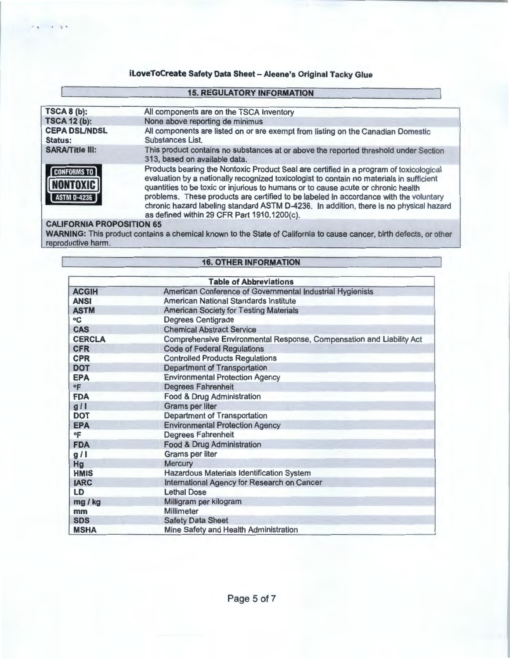### **15. REGULATORY INFORMATION**

| <b>TSCA 8 (b):</b>                                   | All components are on the TSCA Inventory                                                                                                                                                                                                                                                                                                                                                                                                                                                                  |  |
|------------------------------------------------------|-----------------------------------------------------------------------------------------------------------------------------------------------------------------------------------------------------------------------------------------------------------------------------------------------------------------------------------------------------------------------------------------------------------------------------------------------------------------------------------------------------------|--|
| <b>TSCA 12 (b):</b>                                  | None above reporting de minimus                                                                                                                                                                                                                                                                                                                                                                                                                                                                           |  |
| <b>CEPA DSL/NDSL</b><br><b>Status:</b>               | All components are listed on or are exempt from listing on the Canadian Domestic<br>Substances List.                                                                                                                                                                                                                                                                                                                                                                                                      |  |
| <b>SARA/Title III:</b>                               | This product contains no substances at or above the reported threshold under Section<br>313, based on available data.                                                                                                                                                                                                                                                                                                                                                                                     |  |
| <b>CONFORMS TO</b><br><b>NONTOXIC</b><br>ASTM D-4236 | Products bearing the Nontoxic Product Seal are certified in a program of toxicological<br>evaluation by a nationally recognized toxicologist to contain no materials in sufficient<br>quantities to be toxic or injurious to humans or to cause acute or chronic health<br>problems. These products are certified to be labeled in accordance with the voluntary<br>chronic hazard labeling standard ASTM D-4236. In addition, there is no physical hazard<br>as defined within 29 CFR Part 1910.1200(c). |  |

### **CALIFORNIA PROPOSITION 65**

 $\cdot$   $\cdot$ 

**WARNING:** This product contains a chemical known to the State of California to cause cancer, birth defects, or other reproductive harm.

### **16. OTHER INFORMATION**

| <b>Table of Abbreviations</b> |                                                                      |  |
|-------------------------------|----------------------------------------------------------------------|--|
| <b>ACGIH</b>                  | American Conference of Governmental Industrial Hygienists            |  |
| <b>ANSI</b>                   | American National Standards Institute                                |  |
| <b>ASTM</b>                   | <b>American Society for Testing Materials</b>                        |  |
| $\rm ^{\circ}C$               | <b>Degrees Centigrade</b>                                            |  |
| <b>CAS</b>                    | <b>Chemical Abstract Service</b>                                     |  |
| <b>CERCLA</b>                 | Comprehensive Environmental Response, Compensation and Liability Act |  |
| <b>CFR</b>                    | <b>Code of Federal Regulations</b>                                   |  |
| <b>CPR</b>                    | <b>Controlled Products Regulations</b>                               |  |
| <b>DOT</b>                    | <b>Department of Transportation</b>                                  |  |
| <b>EPA</b>                    | <b>Environmental Protection Agency</b>                               |  |
| °F                            | <b>Degrees Fahrenheit</b>                                            |  |
| <b>FDA</b>                    | Food & Drug Administration                                           |  |
| g/1                           | <b>Grams per liter</b>                                               |  |
| <b>DOT</b>                    | <b>Department of Transportation</b>                                  |  |
| <b>EPA</b>                    | <b>Environmental Protection Agency</b>                               |  |
| °F                            | <b>Degrees Fahrenheit</b>                                            |  |
| <b>FDA</b>                    | <b>Food &amp; Drug Administration</b>                                |  |
| g/1                           | <b>Grams per liter</b>                                               |  |
| Hg                            | Mercury                                                              |  |
| <b>HMIS</b>                   | <b>Hazardous Materials Identification System</b>                     |  |
| <b>IARC</b>                   | International Agency for Research on Cancer                          |  |
| LD                            | <b>Lethal Dose</b>                                                   |  |
| mg / kg                       | Milligram per kilogram                                               |  |
| mm                            | Millimeter                                                           |  |
| <b>SDS</b>                    | <b>Safety Data Sheet</b>                                             |  |
| <b>MSHA</b>                   | Mine Safety and Health Administration                                |  |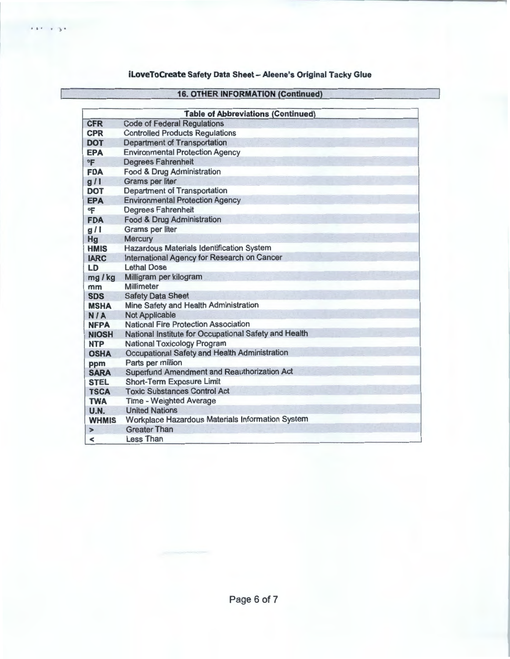$1.00139$ 

### 16. OTHER INFORMATION (Continued)

|                          | <b>Table of Abbreviations (Continued)</b>             |  |  |  |
|--------------------------|-------------------------------------------------------|--|--|--|
| <b>CFR</b>               | <b>Code of Federal Regulations</b>                    |  |  |  |
| <b>CPR</b>               | <b>Controlled Products Regulations</b>                |  |  |  |
| <b>DOT</b>               | <b>Department of Transportation</b>                   |  |  |  |
| <b>EPA</b>               | <b>Environmental Protection Agency</b>                |  |  |  |
| °F                       | <b>Degrees Fahrenheit</b>                             |  |  |  |
| <b>FDA</b>               | Food & Drug Administration                            |  |  |  |
| g/1                      | <b>Grams per liter</b>                                |  |  |  |
| <b>DOT</b>               | <b>Department of Transportation</b>                   |  |  |  |
| <b>EPA</b>               | <b>Environmental Protection Agency</b>                |  |  |  |
| °F                       | <b>Degrees Fahrenheit</b>                             |  |  |  |
| <b>FDA</b>               | Food & Drug Administration                            |  |  |  |
| g/1                      | <b>Grams per liter</b>                                |  |  |  |
| Hg                       | Mercury                                               |  |  |  |
| <b>HMIS</b>              | Hazardous Materials Identification System             |  |  |  |
| <b>IARC</b>              | International Agency for Research on Cancer           |  |  |  |
| LD                       | <b>Lethal Dose</b>                                    |  |  |  |
| mg / kg                  | Milligram per kilogram                                |  |  |  |
| mm                       | Millimeter                                            |  |  |  |
| <b>SDS</b>               | <b>Safety Data Sheet</b>                              |  |  |  |
| <b>MSHA</b>              | Mine Safety and Health Administration                 |  |  |  |
| <b>N/A</b>               | <b>Not Applicable</b>                                 |  |  |  |
| <b>NFPA</b>              | <b>National Fire Protection Association</b>           |  |  |  |
| <b>NIOSH</b>             | National Institute for Occupational Safety and Health |  |  |  |
| <b>NTP</b>               | <b>National Toxicology Program</b>                    |  |  |  |
| <b>OSHA</b>              | Occupational Safety and Health Administration         |  |  |  |
| ppm                      | Parts per million                                     |  |  |  |
| <b>SARA</b>              | Superfund Amendment and Reauthorization Act           |  |  |  |
| <b>STEL</b>              | <b>Short-Term Exposure Limit</b>                      |  |  |  |
| <b>TSCA</b>              | <b>Toxic Substances Control Act</b>                   |  |  |  |
| <b>TWA</b>               | <b>Time - Weighted Average</b>                        |  |  |  |
| <b>U.N.</b>              | <b>United Nations</b>                                 |  |  |  |
| <b>WHMIS</b>             | Workplace Hazardous Materials Information System      |  |  |  |
| ⋗                        | <b>Greater Than</b>                                   |  |  |  |
| $\overline{\phantom{a}}$ | <b>Less Than</b>                                      |  |  |  |